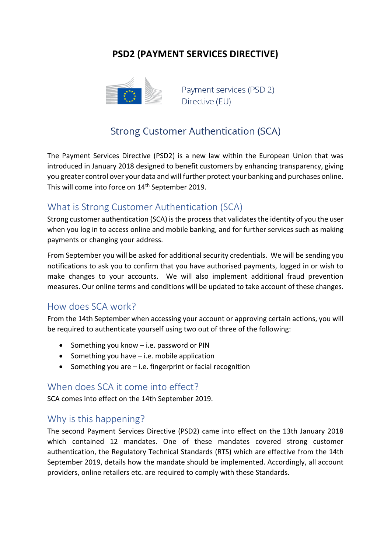# **PSD2 (PAYMENT SERVICES DIRECTIVE)**



Payment services (PSD 2) Directive (EU)

# **Strong Customer Authentication (SCA)**

The Payment Services Directive (PSD2) is a new law within the European Union that was introduced in January 2018 designed to benefit customers by enhancing transparency, giving you greater control over your data and will further protect your banking and purchases online. This will come into force on 14<sup>th</sup> September 2019.

### What is Strong Customer Authentication (SCA)

Strong customer authentication (SCA) is the process that validates the identity of you the user when you log in to access online and mobile banking, and for further services such as making payments or changing your address.

From September you will be asked for additional security credentials. We will be sending you notifications to ask you to confirm that you have authorised payments, logged in or wish to make changes to your accounts. We will also implement additional fraud prevention measures. Our online terms and conditions will be updated to take account of these changes.

#### How does SCA work?

From the 14th September when accessing your account or approving certain actions, you will be required to authenticate yourself using two out of three of the following:

- $\bullet$  Something you know  $-$  i.e. password or PIN
- $\bullet$  Something you have  $-i.e.$  mobile application
- Something you are  $-$  i.e. fingerprint or facial recognition

#### When does SCA it come into effect?

SCA comes into effect on the 14th September 2019.

### Why is this happening?

The second Payment Services Directive (PSD2) came into effect on the 13th January 2018 which contained 12 mandates. One of these mandates covered strong customer authentication, the Regulatory Technical Standards (RTS) which are effective from the 14th September 2019, details how the mandate should be implemented. Accordingly, all account providers, online retailers etc. are required to comply with these Standards.